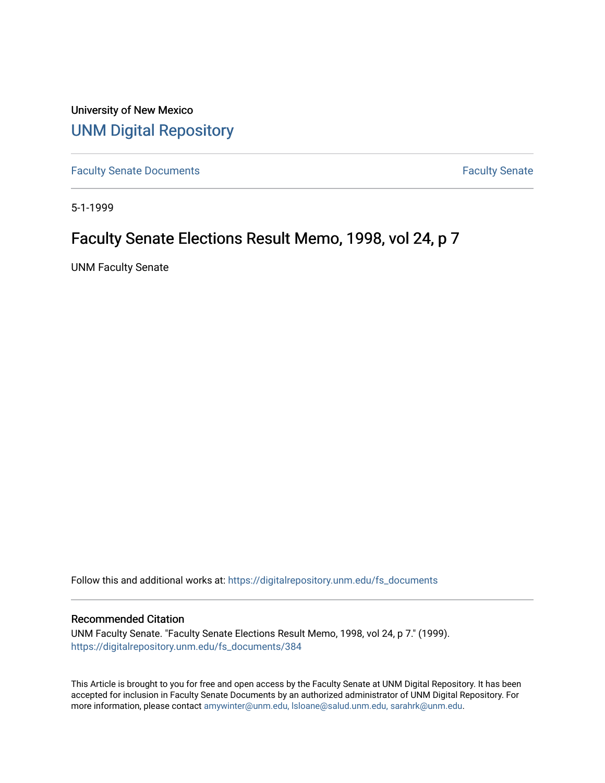University of New Mexico [UNM Digital Repository](https://digitalrepository.unm.edu/) 

[Faculty Senate Documents](https://digitalrepository.unm.edu/fs_documents) **Faculty** Senate **Faculty** Senate

5-1-1999

# Faculty Senate Elections Result Memo, 1998, vol 24, p 7

UNM Faculty Senate

Follow this and additional works at: [https://digitalrepository.unm.edu/fs\\_documents](https://digitalrepository.unm.edu/fs_documents?utm_source=digitalrepository.unm.edu%2Ffs_documents%2F384&utm_medium=PDF&utm_campaign=PDFCoverPages)

#### Recommended Citation

UNM Faculty Senate. "Faculty Senate Elections Result Memo, 1998, vol 24, p 7." (1999). [https://digitalrepository.unm.edu/fs\\_documents/384](https://digitalrepository.unm.edu/fs_documents/384?utm_source=digitalrepository.unm.edu%2Ffs_documents%2F384&utm_medium=PDF&utm_campaign=PDFCoverPages)

This Article is brought to you for free and open access by the Faculty Senate at UNM Digital Repository. It has been accepted for inclusion in Faculty Senate Documents by an authorized administrator of UNM Digital Repository. For more information, please contact [amywinter@unm.edu, lsloane@salud.unm.edu, sarahrk@unm.edu](mailto:amywinter@unm.edu,%20lsloane@salud.unm.edu,%20sarahrk@unm.edu).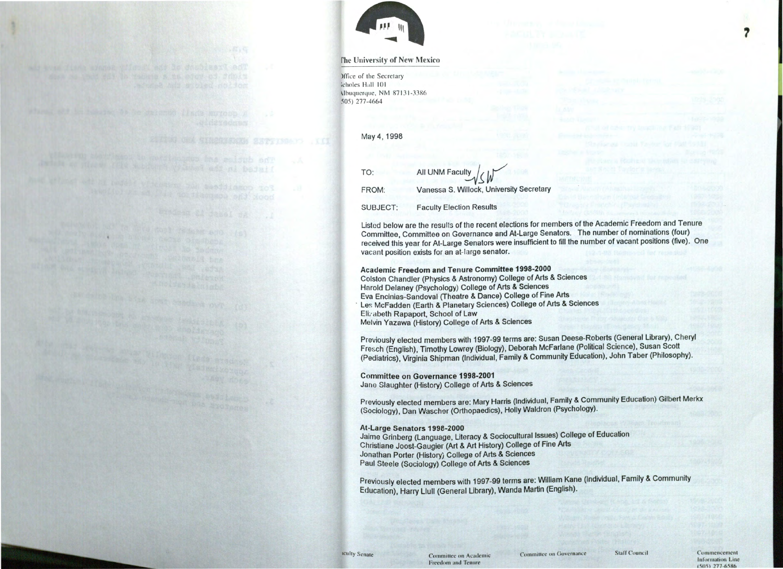

### rhe **University of New Mexico**

)ffice of the Secretary :choles **II.ill** IOI 1.buquerque, NM 87131-3386 505) 277-4664

| TO:      | All UNM Faculty SW                       |
|----------|------------------------------------------|
| FROM:    | Vanessa S. Willock, University Secretary |
| SUBJECT: | <b>Faculty Election Results</b>          |

May 4, 1998

Listed below are the results of the recent elections for members of the Academic Freedom and Tenure Committee, Committee on Governance and At-Large Senators. The number of nominations (four) received this year for At-Large Senators were insufficient to fill the number of vacant positions (five). One vacant position exists for an at-large senator.

Academic Freedom and Tenure Committee **1998-2000**  Colston Chandler (Physics & Astronomy) College of Arts & Sciences Harold Delaney (Psychology) College of Arts & Sciences Eva Encinias-Sandoval (Theatre & Dance) College of Fine Arts Les McFadden (Earth & Planetary Sciences) College of Arts & Sciences<br>Elizabeth Ranaport, School of Law Elizabeth Rapaport, School of Law Melvin Yazawa (History) College of Arts & Sciences

> Information Line  $(505)$  277-6586

Previously elected members with 1997-99 terms are: Susan Deese-Roberts (General Library), Cheryl Fresch (English), Timothy Lowrey (Biology), Deborah Mcfarlane (Political Science), Susan Scott (Pediatrics), Virginia Shipman (Individual, Family & Community Education), John Taber (Philosophy).

## **Committee on Governance 1998-2001**

Jane Slaughter (History) College of Arts & Sciences

Previously elected members are: Mary Harris (Individual, Family & Community Education) Gilbert Merkx (Sociology), Dan Waschor (Orthopaedics), Holly Waldron (Psychology).

## **At-Large Senators 1998-2000**

Jaime Grinberg (Language, Literacy & Sociocultural Issues) College of Education Christiane Joost-Gaugier (Art & Art History) College of Fine Arts Jonathan Porter (History} College of Arts & Sciences Paul Steele (Sociology) College of Arts & Sciences

Previously elected members with 1997-99 terms are: William Kane (Individual, Family & Community Education), Harry Uull (General Library), Wanda Martin (English).

SEEN ON THERESAND ESTIMATE III

he duties and compared the signals and a signal of the

*1*